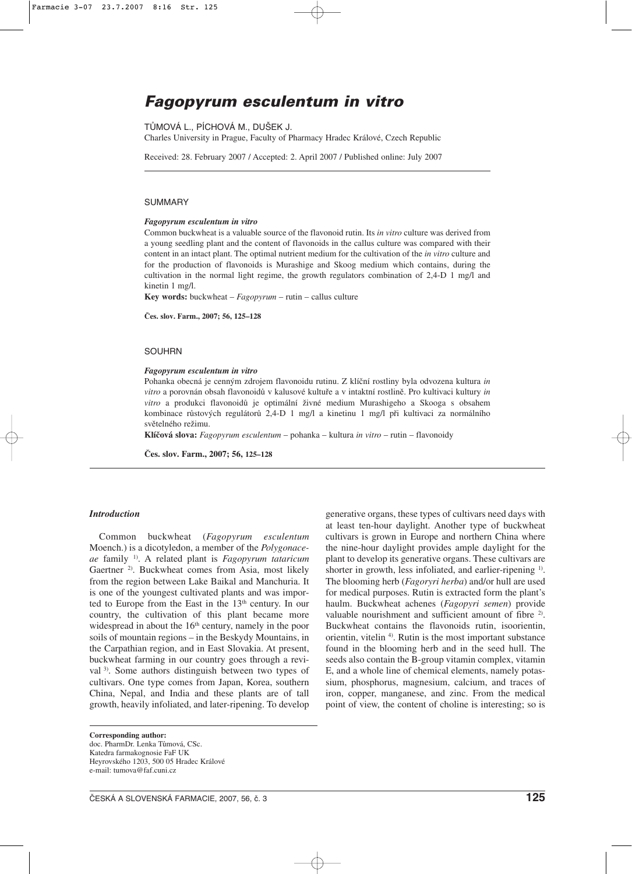# **Fagopyrum esculentum in vitro**

# TŮMOVÁ L., PÍCHOVÁ M., DUŠEK J.

Charles University in Prague, Faculty of Pharmacy Hradec Králové, Czech Republic

Received: 28. February 2007 / Accepted: 2. April 2007 / Published online: July 2007

#### SUMMARY

# *Fagopyrum esculentum in vitro*

Common buckwheat is a valuable source of the flavonoid rutin. Its *in vitro* culture was derived from a young seedling plant and the content of flavonoids in the callus culture was compared with their content in an intact plant. The optimal nutrient medium for the cultivation of the *in vitro* culture and for the production of flavonoids is Murashige and Skoog medium which contains, during the cultivation in the normal light regime, the growth regulators combination of 2,4-D 1 mg/l and kinetin 1 mg/l.

**Key words:** buckwheat – *Fagopyrum* – rutin – callus culture

**Čes. slov. Farm., 2007; 56, 125–128**

#### SOUHRN

#### *Fagopyrum esculentum in vitro*

Pohanka obecná je cenným zdrojem flavonoidu rutinu. Z klíční rostliny byla odvozena kultura *in vitro* a porovnán obsah flavonoidů v kalusové kultuře a v intaktní rostlině. Pro kultivaci kultury *in vitro* a produkci flavonoidů je optimální živné medium Murashigeho a Skooga s obsahem kombinace růstových regulátorů 2,4-D 1 mg/l a kinetinu 1 mg/l při kultivaci za normálního světelného režimu.

**Klíčová slova:** *Fagopyrum esculentum* – pohanka – kultura *in vitro* – rutin – flavonoidy

**Čes. slov. Farm., 2007; 56, 125–128**

#### *Introduction*

Common buckwheat (*Fagopyrum esculentum* Moench.) is a dicotyledon, a member of the *Polygonaceae* family 1). A related plant is *Fagopyrum tataricum* Gaertner <sup>2)</sup>. Buckwheat comes from Asia, most likely from the region between Lake Baikal and Manchuria. It is one of the youngest cultivated plants and was imported to Europe from the East in the 13<sup>th</sup> century. In our country, the cultivation of this plant became more widespread in about the  $16<sup>th</sup>$  century, namely in the poor soils of mountain regions – in the Beskydy Mountains, in the Carpathian region, and in East Slovakia. At present, buckwheat farming in our country goes through a revival 3). Some authors distinguish between two types of cultivars. One type comes from Japan, Korea, southern China, Nepal, and India and these plants are of tall growth, heavily infoliated, and later-ripening. To develop

**Corresponding author:** doc. PharmDr. Lenka Tůmová, CSc. Katedra farmakognosie FaF UK Heyrovského 1203, 500 05 Hradec Králové e-mail: tumova@faf.cuni.cz

generative organs, these types of cultivars need days with at least ten-hour daylight. Another type of buckwheat cultivars is grown in Europe and northern China where the nine-hour daylight provides ample daylight for the plant to develop its generative organs. These cultivars are shorter in growth, less infoliated, and earlier-ripening <sup>1)</sup>. The blooming herb (*Fagoryri herba*) and/or hull are used for medical purposes. Rutin is extracted form the plant's haulm. Buckwheat achenes (*Fagopyri semen*) provide valuable nourishment and sufficient amount of fibre <sup>2)</sup>. Buckwheat contains the flavonoids rutin, isoorientin, orientin, vitelin 4). Rutin is the most important substance found in the blooming herb and in the seed hull. The seeds also contain the B-group vitamin complex, vitamin E, and a whole line of chemical elements, namely potassium, phosphorus, magnesium, calcium, and traces of iron, copper, manganese, and zinc. From the medical point of view, the content of choline is interesting; so is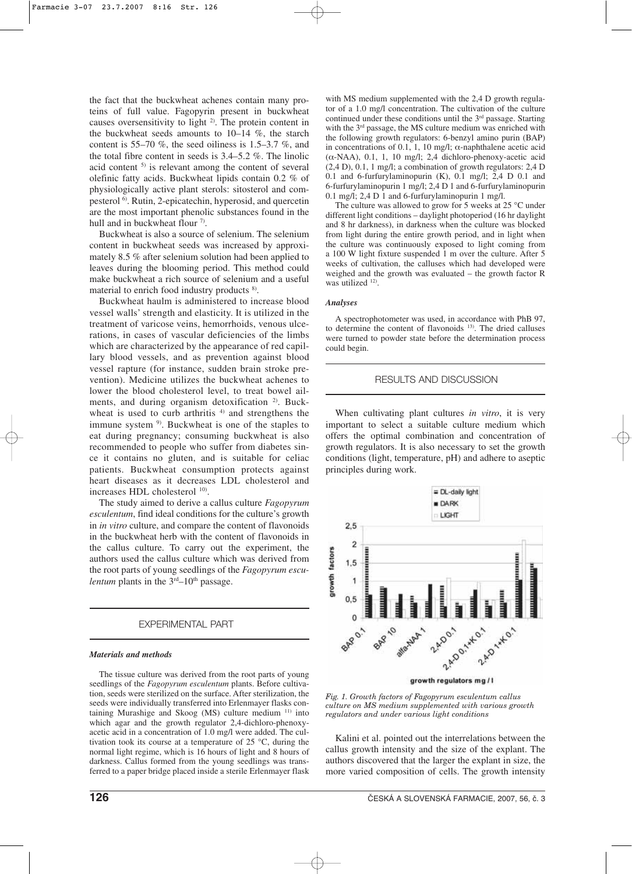the fact that the buckwheat achenes contain many proteins of full value. Fagopyrin present in buckwheat causes oversensitivity to light <sup>2)</sup>. The protein content in the buckwheat seeds amounts to 10–14 %, the starch content is 55–70 %, the seed oiliness is 1.5–3.7 %, and the total fibre content in seeds is 3.4–5.2 %. The linolic acid content 5) is relevant among the content of several olefinic fatty acids. Buckwheat lipids contain 0.2 % of physiologically active plant sterols: sitosterol and compesterol 6). Rutin, 2-epicatechin, hyperosid, and quercetin are the most important phenolic substances found in the hull and in buckwheat flour <sup>7)</sup>.

Buckwheat is also a source of selenium. The selenium content in buckwheat seeds was increased by approximately 8.5 % after selenium solution had been applied to leaves during the blooming period. This method could make buckwheat a rich source of selenium and a useful material to enrich food industry products  $8$ .

Buckwheat haulm is administered to increase blood vessel walls' strength and elasticity. It is utilized in the treatment of varicose veins, hemorrhoids, venous ulcerations, in cases of vascular deficiencies of the limbs which are characterized by the appearance of red capillary blood vessels, and as prevention against blood vessel rapture (for instance, sudden brain stroke prevention). Medicine utilizes the buckwheat achenes to lower the blood cholesterol level, to treat bowel ailments, and during organism detoxification <sup>2)</sup>. Buckwheat is used to curb arthritis  $4$  and strengthens the immune system <sup>9)</sup>. Buckwheat is one of the staples to eat during pregnancy; consuming buckwheat is also recommended to people who suffer from diabetes since it contains no gluten, and is suitable for celiac patients. Buckwheat consumption protects against heart diseases as it decreases LDL cholesterol and increases HDL cholesterol <sup>10)</sup>.

The study aimed to derive a callus culture *Fagopyrum esculentum*, find ideal conditions for the culture's growth in *in vitro* culture, and compare the content of flavonoids in the buckwheat herb with the content of flavonoids in the callus culture. To carry out the experiment, the authors used the callus culture which was derived from the root parts of young seedlings of the *Fagopyrum esculentum* plants in the  $3<sup>rd</sup>-10<sup>th</sup>$  passage.

# EXPERIMENTAL PART

#### *Materials and methods*

The tissue culture was derived from the root parts of young seedlings of the *Fagopyrum esculentum* plants. Before cultivation, seeds were sterilized on the surface. After sterilization, the seeds were individually transferred into Erlenmayer flasks containing Murashige and Skoog (MS) culture medium 11) into which agar and the growth regulator 2,4-dichloro-phenoxyacetic acid in a concentration of 1.0 mg/l were added. The cultivation took its course at a temperature of 25 °C, during the normal light regime, which is 16 hours of light and 8 hours of darkness. Callus formed from the young seedlings was transferred to a paper bridge placed inside a sterile Erlenmayer flask

with MS medium supplemented with the 2,4 D growth regulator of a 1.0 mg/l concentration. The cultivation of the culture continued under these conditions until the 3rd passage. Starting with the 3<sup>rd</sup> passage, the MS culture medium was enriched with the following growth regulators: 6-benzyl amino purin (BAP) in concentrations of 0.1, 1, 10 mg/l;  $\alpha$ -naphthalene acetic acid ( $\alpha$ -NAA), 0.1, 1, 10 mg/l; 2,4 dichloro-phenoxy-acetic acid (2,4 D), 0.1, 1 mg/l; a combination of growth regulators: 2,4 D 0.1 and 6-furfurylaminopurin (K), 0.1 mg/l; 2,4 D 0.1 and 6-furfurylaminopurin 1 mg/l; 2,4 D 1 and 6-furfurylaminopurin 0.1 mg/l; 2,4 D 1 and 6-furfurylaminopurin 1 mg/l.

The culture was allowed to grow for 5 weeks at 25 °C under different light conditions – daylight photoperiod (16 hr daylight and 8 hr darkness), in darkness when the culture was blocked from light during the entire growth period, and in light when the culture was continuously exposed to light coming from a 100 W light fixture suspended 1 m over the culture. After 5 weeks of cultivation, the calluses which had developed were weighed and the growth was evaluated – the growth factor R was utilized <sup>12)</sup>.

#### *Analyses*

A spectrophotometer was used, in accordance with PhB 97, to determine the content of flavonoids 13). The dried calluses were turned to powder state before the determination process could begin.

## RESULTS AND DISCUSSION

When cultivating plant cultures *in vitro*, it is very important to select a suitable culture medium which offers the optimal combination and concentration of growth regulators. It is also necessary to set the growth conditions (light, temperature, pH) and adhere to aseptic principles during work.



*Fig. 1. Growth factors of Fagopyrum esculentum callus culture on MS medium supplemented with various growth regulators and under various light conditions*

Kalini et al. pointed out the interrelations between the callus growth intensity and the size of the explant. The authors discovered that the larger the explant in size, the more varied composition of cells. The growth intensity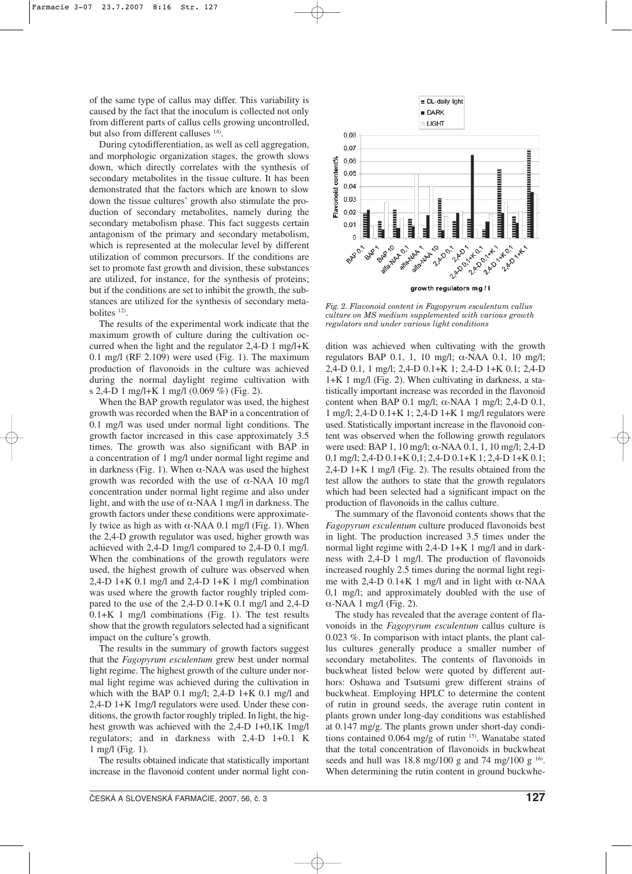of the same type of callus may differ. This variability is caused by the fact that the inoculum is collected not only from different parts of callus cells growing uncontrolled, but also from different calluses <sup>14)</sup>.

During cytodifferentiation, as well as cell aggregation, and morphologic organization stages, the growth slows down, which directly correlates with the synthesis of secondary metabolites in the tissue culture. It has been demonstrated that the factors which are known to slow down the tissue cultures' growth also stimulate the production of secondary metabolites, namely during the secondary metabolism phase. This fact suggests certain antagonism of the primary and secondary metabolism, which is represented at the molecular level by different utilization of common precursors. If the conditions are set to promote fast growth and division, these substances are utilized, for instance, for the synthesis of proteins; but if the conditions are set to inhibit the growth, the substances are utilized for the synthesis of secondary metabolites 12).

The results of the experimental work indicate that the maximum growth of culture during the cultivation occurred when the light and the regulator 2,4-D 1 mg/l+K 0.1 mg/l (RF 2.109) were used (Fig. 1). The maximum production of flavonoids in the culture was achieved during the normal daylight regime cultivation with s 2,4-D 1 mg/l+K 1 mg/l (0.069 %) (Fig. 2).

When the BAP growth regulator was used, the highest growth was recorded when the BAP in a concentration of 0.1 mg/l was used under normal light conditions. The growth factor increased in this case approximately 3.5 times. The growth was also significant with BAP in a concentration of 1 mg/l under normal light regime and in darkness (Fig. 1). When α-NAA was used the highest growth was recorded with the use of  $\alpha$ -NAA 10 mg/l concentration under normal light regime and also under light, and with the use of  $\alpha$ -NAA 1 mg/l in darkness. The growth factors under these conditions were approximately twice as high as with  $α$ -NAA 0.1 mg/l (Fig. 1). When the 2,4-D growth regulator was used, higher growth was achieved with 2,4-D 1mg/l compared to 2,4-D 0.1 mg/l. When the combinations of the growth regulators were used, the highest growth of culture was observed when 2,4-D 1+K 0.1 mg/l and 2,4-D 1+K 1 mg/l combination was used where the growth factor roughly tripled compared to the use of the  $2,4-D$  0.1+K 0.1 mg/l and  $2,4-D$ 0.1+K 1 mg/l combinations (Fig. 1). The test results show that the growth regulators selected had a significant impact on the culture's growth.

The results in the summary of growth factors suggest that the *Fagopyrum esculentum* grew best under normal light regime. The highest growth of the culture under normal light regime was achieved during the cultivation in which with the BAP 0.1 mg/l; 2,4-D 1+K 0.1 mg/l and 2,4-D 1+K 1mg/l regulators were used. Under these conditions, the growth factor roughly tripled. In light, the highest growth was achieved with the 2,4-D 1+0,1K 1mg/l regulators; and in darkness with 2,4-D 1+0.1 K 1 mg/l (Fig. 1).

The results obtained indicate that statistically important increase in the flavonoid content under normal light con-



*Fig. 2. Flavonoid content in Fagopyrum esculentum callus culture on MS medium supplemented with various growth regulators and under various light conditions*

dition was achieved when cultivating with the growth regulators BAP 0.1, 1, 10 mg/l; α-NAA 0.1, 10 mg/l; 2,4-D 0.1, 1 mg/l; 2,4-D 0.1+K 1; 2,4-D 1+K 0.1; 2,4-D 1+K 1 mg/l (Fig. 2). When cultivating in darkness, a statistically important increase was recorded in the flavonoid content when BAP 0.1 mg/l;  $\alpha$ -NAA 1 mg/l; 2,4-D 0.1, 1 mg/l; 2,4-D 0.1+K 1; 2,4-D 1+K 1 mg/l regulators were used. Statistically important increase in the flavonoid content was observed when the following growth regulators were used: BAP 1, 10 mg/l; α-NAA 0.1, 1, 10 mg/l; 2,4-D 0.1 mg/l; 2,4-D 0.1+K 0,1; 2,4-D 0.1+K 1; 2,4-D 1+K 0.1; 2,4-D 1+K 1 mg/l (Fig. 2). The results obtained from the test allow the authors to state that the growth regulators which had been selected had a significant impact on the production of flavonoids in the callus culture.

The summary of the flavonoid contents shows that the *Fagopyrum esculentum* culture produced flavonoids best in light. The production increased 3.5 times under the normal light regime with 2,4-D 1+K 1 mg/l and in darkness with 2,4-D 1 mg/l. The production of flavonoids increased roughly 2.5 times during the normal light regime with 2,4-D 0.1+K 1 mg/l and in light with  $α$ -NAA 0,1 mg/l; and approximately doubled with the use of α-NAA 1 mg/l (Fig. 2).

The study has revealed that the average content of flavonoids in the *Fagopyrum esculentum* callus culture is 0.023 %. In comparison with intact plants, the plant callus cultures generally produce a smaller number of secondary metabolites. The contents of flavonoids in buckwheat listed below were quoted by different authors: Oshawa and Tsutsumi grew different strains of buckwheat. Employing HPLC to determine the content of rutin in ground seeds, the average rutin content in plants grown under long-day conditions was established at 0.147 mg/g. The plants grown under short-day conditions contained 0.064 mg/g of rutin 15). Wanatabe stated that the total concentration of flavonoids in buckwheat seeds and hull was 18.8 mg/100 g and 74 mg/100 g  $^{16}$ . When determining the rutin content in ground buckwhe